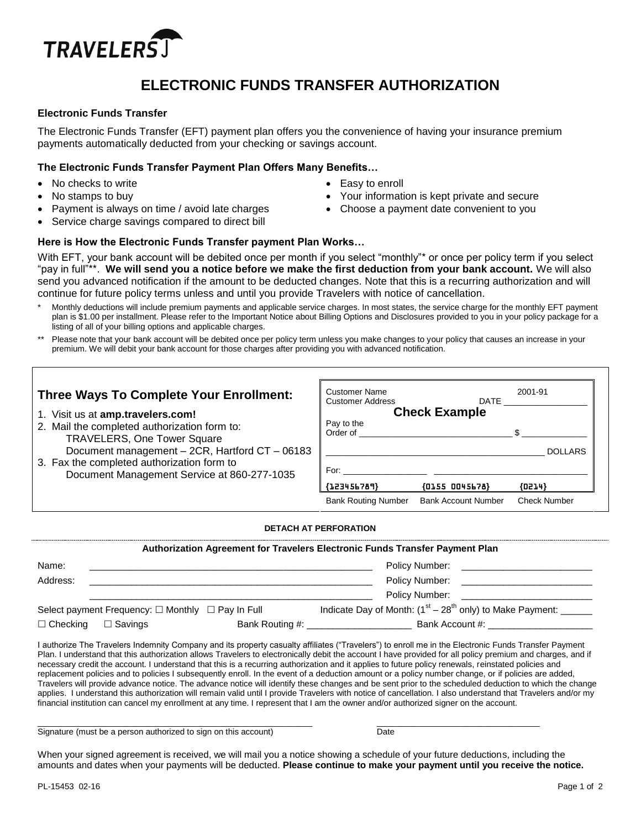

# **ELECTRONIC FUNDS TRANSFER AUTHORIZATION**

## **Electronic Funds Transfer**

The Electronic Funds Transfer (EFT) payment plan offers you the convenience of having your insurance premium payments automatically deducted from your checking or savings account.

### **The Electronic Funds Transfer Payment Plan Offers Many Benefits…**

- No checks to write
- No stamps to buy
- Easy to enroll
	- Your information is kept private and secure
- Payment is always on time / avoid late charges
- Choose a payment date convenient to you
- Service charge savings compared to direct bill

# **Here is How the Electronic Funds Transfer payment Plan Works…**

With EFT, your bank account will be debited once per month if you select "monthly"\* or once per policy term if you select "pay in full"\*\*. **We will send you a notice before we make the first deduction from your bank account.** We will also send you advanced notification if the amount to be deducted changes. Note that this is a recurring authorization and will continue for future policy terms unless and until you provide Travelers with notice of cancellation.

- Monthly deductions will include premium payments and applicable service charges. In most states, the service charge for the monthly EFT payment plan is \$1.00 per installment. Please refer to the Important Notice about Billing Options and Disclosures provided to you in your policy package for a listing of all of your billing options and applicable charges.
- Please note that your bank account will be debited once per policy term unless you make changes to your policy that causes an increase in your premium. We will debit your bank account for those charges after providing you with advanced notification.

# **Three Ways To Complete Your Enrollment:**

- 1. Visit us at **amp.travelers.com!**
- 2. Mail the completed authorization form to: TRAVELERS, One Tower Square Document management – 2CR, Hartford CT – 06183
- 3. Fax the completed authorization form to Document Management Service at 860-277-1035

| <b>Customer Name</b><br><b>Customer Address</b> | DATE            | 2001-91        |  |  |  |  |
|-------------------------------------------------|-----------------|----------------|--|--|--|--|
| <b>Check Example</b>                            |                 |                |  |  |  |  |
| Pay to the<br>Order of                          |                 | \$             |  |  |  |  |
|                                                 |                 | <b>DOLLARS</b> |  |  |  |  |
| For:                                            |                 |                |  |  |  |  |
| ${123456789}$                                   | ${01550045678}$ | ${0214}$       |  |  |  |  |
|                                                 |                 |                |  |  |  |  |

### **DETACH AT PERFORATION**

|                 | Authorization Agreement for Travelers Electronic Funds Transfer Payment Plan |  |                                                                                                                                         |  |  |
|-----------------|------------------------------------------------------------------------------|--|-----------------------------------------------------------------------------------------------------------------------------------------|--|--|
| Name:           |                                                                              |  | Policy Number:<br><u> 1980 - Jan Alexandro III, politik pozitivni predstavanja pod predstavanja pod predstavanja pod predstavanja p</u> |  |  |
| Address:        |                                                                              |  | Policy Number:<br><u> 1980 - Jan Barnett, amerikansk politik (</u>                                                                      |  |  |
|                 |                                                                              |  | Policy Number:                                                                                                                          |  |  |
|                 | Select payment Frequency: $\Box$ Monthly $\Box$ Pay In Full                  |  | Indicate Day of Month: $(1^{st} – 28^{th} )$ only) to Make Payment: _______                                                             |  |  |
| $\Box$ Checking | $\Box$ Savings                                                               |  | Bank Account #:                                                                                                                         |  |  |

I authorize The Travelers Indemnity Company and its property casualty affiliates ("Travelers") to enroll me in the Electronic Funds Transfer Payment Plan. I understand that this authorization allows Travelers to electronically debit the account I have provided for all policy premium and charges, and if necessary credit the account. I understand that this is a recurring authorization and it applies to future policy renewals, reinstated policies and replacement policies and to policies I subsequently enroll. In the event of a deduction amount or a policy number change, or if policies are added, Travelers will provide advance notice. The advance notice will identify these changes and be sent prior to the scheduled deduction to which the change applies. I understand this authorization will remain valid until I provide Travelers with notice of cancellation. I also understand that Travelers and/or my financial institution can cancel my enrollment at any time. I represent that I am the owner and/or authorized signer on the account.

Signature (must be a person authorized to sign on this account) Date

 $\_$  ,  $\_$  ,  $\_$  ,  $\_$  ,  $\_$  ,  $\_$  ,  $\_$  ,  $\_$  ,  $\_$  ,  $\_$  ,  $\_$  ,  $\_$  ,  $\_$  ,  $\_$  ,  $\_$  ,  $\_$  ,  $\_$  ,  $\_$  ,  $\_$  ,  $\_$  ,  $\_$  ,  $\_$  ,  $\_$  ,  $\_$  ,  $\_$  ,  $\_$  ,  $\_$  ,  $\_$  ,  $\_$  ,  $\_$  ,  $\_$  ,  $\_$  ,  $\_$  ,  $\_$  ,  $\_$  ,  $\_$  ,  $\_$  ,

When your signed agreement is received, we will mail you a notice showing a schedule of your future deductions, including the amounts and dates when your payments will be deducted. **Please continue to make your payment until you receive the notice.**